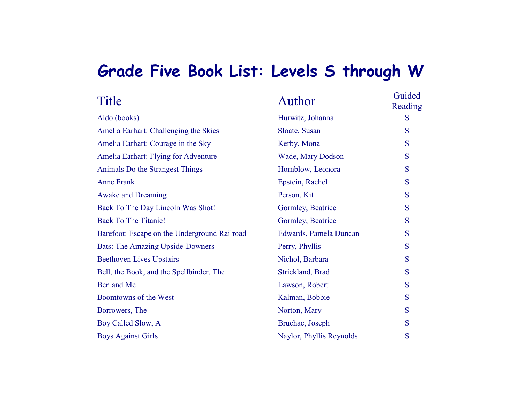## **Grade Five Book List: Levels S through W**

| Title                                        | Author                   | Guided<br>Reading |
|----------------------------------------------|--------------------------|-------------------|
| Aldo (books)                                 | Hurwitz, Johanna         | S                 |
| Amelia Earhart: Challenging the Skies        | Sloate, Susan            | S                 |
| Amelia Earhart: Courage in the Sky           | Kerby, Mona              | S                 |
| Amelia Earhart: Flying for Adventure         | <b>Wade, Mary Dodson</b> | S                 |
| Animals Do the Strangest Things              | Hornblow, Leonora        | S                 |
| <b>Anne Frank</b>                            | Epstein, Rachel          | S                 |
| <b>Awake and Dreaming</b>                    | Person, Kit              | S                 |
| Back To The Day Lincoln Was Shot!            | Gormley, Beatrice        | S                 |
| <b>Back To The Titanic!</b>                  | Gormley, Beatrice        | S                 |
| Barefoot: Escape on the Underground Railroad | Edwards, Pamela Duncan   | S                 |
| <b>Bats: The Amazing Upside-Downers</b>      | Perry, Phyllis           | S                 |
| <b>Beethoven Lives Upstairs</b>              | Nichol, Barbara          | S                 |
| Bell, the Book, and the Spellbinder, The     | Strickland, Brad         | S                 |
| Ben and Me                                   | Lawson, Robert           | S                 |
| Boomtowns of the West                        | Kalman, Bobbie           | S                 |
| Borrowers, The                               | Norton, Mary             | S                 |
| Boy Called Slow, A                           | Bruchac, Joseph          | S                 |
| <b>Boys Against Girls</b>                    | Naylor, Phyllis Reynolds | S                 |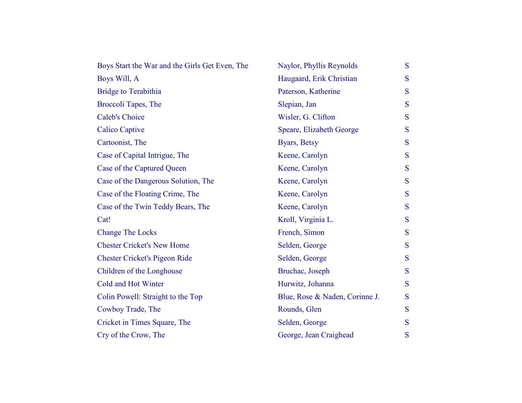| Boys Start the War and the Girls Get Even, The | Naylor, Phyllis Reynolds       | S |
|------------------------------------------------|--------------------------------|---|
| Boys Will, A                                   | Haugaard, Erik Christian       | S |
| <b>Bridge to Terabithia</b>                    | Paterson, Katherine            | S |
| Broccoli Tapes, The                            | Slepian, Jan                   | S |
| <b>Caleb's Choice</b>                          | Wisler, G. Clifton             | S |
| <b>Calico Captive</b>                          | Speare, Elizabeth George       | S |
| Cartoonist, The                                | Byars, Betsy                   | S |
| Case of Capital Intrigue, The                  | Keene, Carolyn                 | S |
| Case of the Captured Queen                     | Keene, Carolyn                 | S |
| Case of the Dangerous Solution, The            | Keene, Carolyn                 | S |
| Case of the Floating Crime, The                | Keene, Carolyn                 | S |
| Case of the Twin Teddy Bears, The              | Keene, Carolyn                 | S |
| Cat!                                           | Kroll, Virginia L.             | S |
| <b>Change The Locks</b>                        | French, Simon                  | S |
| <b>Chester Cricket's New Home</b>              | Selden, George                 | S |
| <b>Chester Cricket's Pigeon Ride</b>           | Selden, George                 | S |
| Children of the Longhouse                      | Bruchac, Joseph                | S |
| Cold and Hot Winter                            | Hurwitz, Johanna               | S |
| Colin Powell: Straight to the Top              | Blue, Rose & Naden, Corinne J. | S |
| Cowboy Trade, The                              | Rounds, Glen                   | S |
| Cricket in Times Square, The                   | Selden, George                 | S |
| Cry of the Crow, The                           | George, Jean Craighead         | S |
|                                                |                                |   |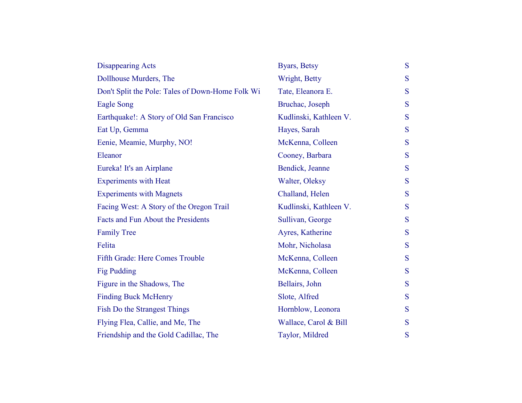| <b>Disappearing Acts</b>                         | Byars, Betsy           | S |
|--------------------------------------------------|------------------------|---|
| Dollhouse Murders, The                           | Wright, Betty          | S |
| Don't Split the Pole: Tales of Down-Home Folk Wi | Tate, Eleanora E.      | S |
| <b>Eagle Song</b>                                | Bruchac, Joseph        | S |
| Earthquake!: A Story of Old San Francisco        | Kudlinski, Kathleen V. | S |
| Eat Up, Gemma                                    | Hayes, Sarah           | S |
| Eenie, Meamie, Murphy, NO!                       | McKenna, Colleen       | S |
| Eleanor                                          | Cooney, Barbara        | S |
| Eureka! It's an Airplane                         | Bendick, Jeanne        | S |
| <b>Experiments with Heat</b>                     | Walter, Oleksy         | S |
| <b>Experiments with Magnets</b>                  | Challand, Helen        | S |
| Facing West: A Story of the Oregon Trail         | Kudlinski, Kathleen V. | S |
| Facts and Fun About the Presidents               | Sullivan, George       | S |
| <b>Family Tree</b>                               | Ayres, Katherine       | S |
| Felita                                           | Mohr, Nicholasa        | S |
| Fifth Grade: Here Comes Trouble                  | McKenna, Colleen       | S |
| <b>Fig Pudding</b>                               | McKenna, Colleen       | S |
| Figure in the Shadows, The                       | Bellairs, John         | S |
| <b>Finding Buck McHenry</b>                      | Slote, Alfred          | S |
| Fish Do the Strangest Things                     | Hornblow, Leonora      | S |
| Flying Flea, Callie, and Me, The                 | Wallace, Carol & Bill  | S |
| Friendship and the Gold Cadillac, The            | Taylor, Mildred        | S |
|                                                  |                        |   |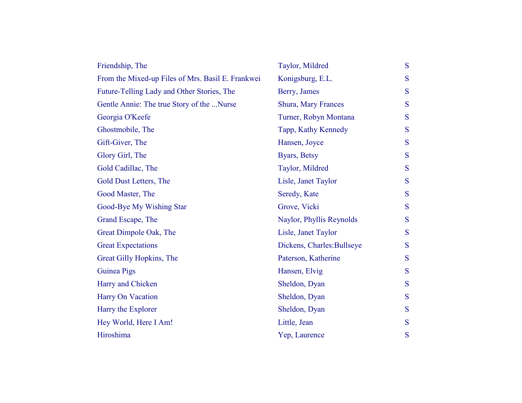| Friendship, The                                   | Taylor, Mildred            | S |
|---------------------------------------------------|----------------------------|---|
| From the Mixed-up Files of Mrs. Basil E. Frankwei | Konigsburg, E.L.           | S |
| Future-Telling Lady and Other Stories, The        | Berry, James               | S |
| Gentle Annie: The true Story of the Nurse         | <b>Shura, Mary Frances</b> | S |
| Georgia O'Keefe                                   | Turner, Robyn Montana      | S |
| Ghostmobile, The                                  | Tapp, Kathy Kennedy        | S |
| Gift-Giver, The                                   | Hansen, Joyce              | S |
| Glory Girl, The                                   | Byars, Betsy               | S |
| Gold Cadillac, The                                | Taylor, Mildred            | S |
| Gold Dust Letters, The                            | Lisle, Janet Taylor        | S |
| Good Master, The                                  | Seredy, Kate               | S |
| Good-Bye My Wishing Star                          | Grove, Vicki               | S |
| Grand Escape, The                                 | Naylor, Phyllis Reynolds   | S |
| Great Dimpole Oak, The                            | Lisle, Janet Taylor        | S |
| <b>Great Expectations</b>                         | Dickens, Charles: Bullseye | S |
| Great Gilly Hopkins, The                          | Paterson, Katherine        | S |
| Guinea Pigs                                       | Hansen, Elvig              | S |
| Harry and Chicken                                 | Sheldon, Dyan              | S |
| Harry On Vacation                                 | Sheldon, Dyan              | S |
| Harry the Explorer                                | Sheldon, Dyan              | S |
| Hey World, Here I Am!                             | Little, Jean               | S |
| Hiroshima                                         | Yep, Laurence              | S |
|                                                   |                            |   |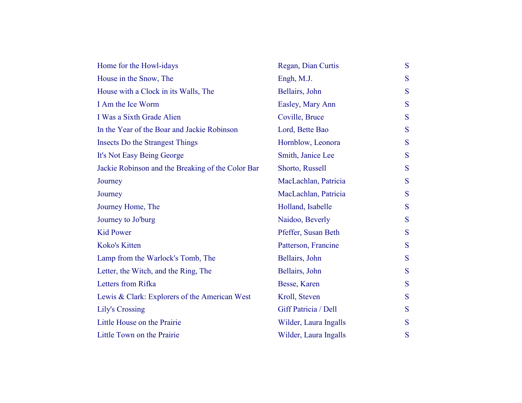| Home for the Howl-idays                           | Regan, Dian Curtis    | S |
|---------------------------------------------------|-----------------------|---|
| House in the Snow, The                            | Engh, M.J.            | S |
| House with a Clock in its Walls, The              | Bellairs, John        | S |
| I Am the Ice Worm                                 | Easley, Mary Ann      | S |
| I Was a Sixth Grade Alien                         | Coville, Bruce        | S |
| In the Year of the Boar and Jackie Robinson       | Lord, Bette Bao       | S |
| <b>Insects Do the Strangest Things</b>            | Hornblow, Leonora     | S |
| It's Not Easy Being George                        | Smith, Janice Lee     | S |
| Jackie Robinson and the Breaking of the Color Bar | Shorto, Russell       | S |
| Journey                                           | MacLachlan, Patricia  | S |
| Journey                                           | MacLachlan, Patricia  | S |
| Journey Home, The                                 | Holland, Isabelle     | S |
| Journey to Jo'burg                                | Naidoo, Beverly       | S |
| <b>Kid Power</b>                                  | Pfeffer, Susan Beth   | S |
| Koko's Kitten                                     | Patterson, Francine   | S |
| Lamp from the Warlock's Tomb, The                 | Bellairs, John        | S |
| Letter, the Witch, and the Ring, The              | Bellairs, John        | S |
| Letters from Rifka                                | Besse, Karen          | S |
| Lewis & Clark: Explorers of the American West     | Kroll, Steven         | S |
| <b>Lily's Crossing</b>                            | Giff Patricia / Dell  | S |
| Little House on the Prairie                       | Wilder, Laura Ingalls | S |
| Little Town on the Prairie                        | Wilder, Laura Ingalls | S |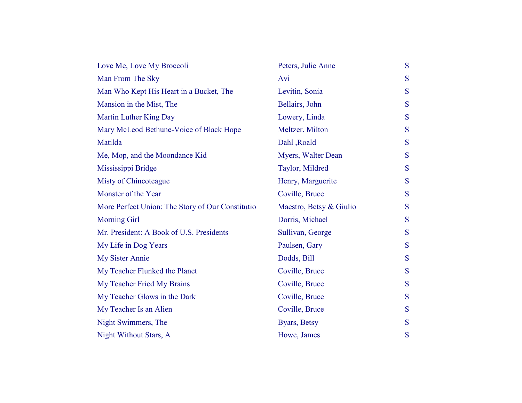| Love Me, Love My Broccoli                        | Peters, Julie Anne      | S |
|--------------------------------------------------|-------------------------|---|
| Man From The Sky                                 | Avi                     | S |
| Man Who Kept His Heart in a Bucket, The          | Levitin, Sonia          | S |
| Mansion in the Mist, The                         | Bellairs, John          | S |
| Martin Luther King Day                           | Lowery, Linda           | S |
| Mary McLeod Bethune-Voice of Black Hope          | Meltzer. Milton         | S |
| Matilda                                          | Dahl, Roald             | S |
| Me, Mop, and the Moondance Kid                   | Myers, Walter Dean      | S |
| Mississippi Bridge                               | Taylor, Mildred         | S |
| Misty of Chincoteague                            | Henry, Marguerite       | S |
| Monster of the Year                              | Coville, Bruce          | S |
| More Perfect Union: The Story of Our Constitutio | Maestro, Betsy & Giulio | S |
| <b>Morning Girl</b>                              | Dorris, Michael         | S |
| Mr. President: A Book of U.S. Presidents         | Sullivan, George        | S |
| My Life in Dog Years                             | Paulsen, Gary           | S |
| <b>My Sister Annie</b>                           | Dodds, Bill             | S |
| My Teacher Flunked the Planet                    | Coville, Bruce          | S |
| My Teacher Fried My Brains                       | Coville, Bruce          | S |
| My Teacher Glows in the Dark                     | Coville, Bruce          | S |
| My Teacher Is an Alien                           | Coville, Bruce          | S |
| Night Swimmers, The                              | Byars, Betsy            | S |
| Night Without Stars, A                           | Howe, James             | S |
|                                                  |                         |   |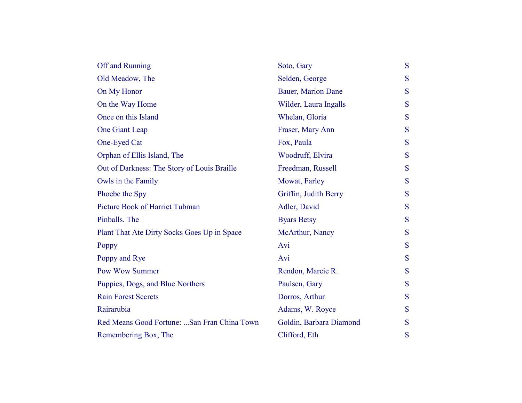| Off and Running                             | Soto, Gary                | S |
|---------------------------------------------|---------------------------|---|
| Old Meadow, The                             | Selden, George            | S |
| On My Honor                                 | <b>Bauer, Marion Dane</b> | S |
| On the Way Home                             | Wilder, Laura Ingalls     | S |
| Once on this Island                         | Whelan, Gloria            | S |
| One Giant Leap                              | Fraser, Mary Ann          | S |
| One-Eyed Cat                                | Fox, Paula                | S |
| Orphan of Ellis Island, The                 | Woodruff, Elvira          | S |
| Out of Darkness: The Story of Louis Braille | Freedman, Russell         | S |
| Owls in the Family                          | Mowat, Farley             | S |
| Phoebe the Spy                              | Griffin, Judith Berry     | S |
| <b>Picture Book of Harriet Tubman</b>       | Adler, David              | S |
| Pinballs. The                               | <b>Byars Betsy</b>        | S |
| Plant That Ate Dirty Socks Goes Up in Space | McArthur, Nancy           | S |
| Poppy                                       | Avi                       | S |
| Poppy and Rye                               | Avi                       | S |
| <b>Pow Wow Summer</b>                       | Rendon, Marcie R.         | S |
| Puppies, Dogs, and Blue Northers            | Paulsen, Gary             | S |
| <b>Rain Forest Secrets</b>                  | Dorros, Arthur            | S |
| Rairarubia                                  | Adams, W. Royce           | S |
| Red Means Good Fortune: San Fran China Town | Goldin, Barbara Diamond   | S |
| Remembering Box, The                        | Clifford, Eth             | S |
|                                             |                           |   |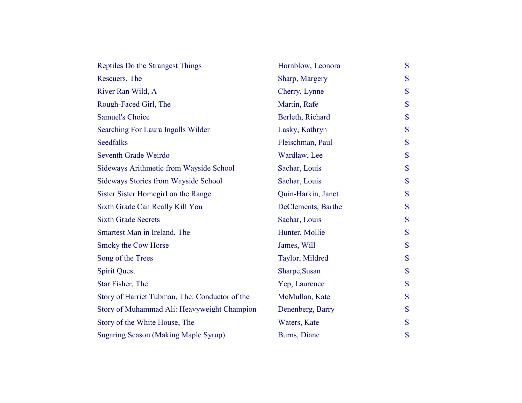| Reptiles Do the Strangest Things               | Hornblow, Leonora  | S |
|------------------------------------------------|--------------------|---|
| Rescuers, The                                  | Sharp, Margery     | S |
| River Ran Wild, A                              | Cherry, Lynne      | S |
| Rough-Faced Girl, The                          | Martin, Rafe       | S |
| <b>Samuel's Choice</b>                         | Berleth, Richard   | S |
| Searching For Laura Ingalls Wilder             | Lasky, Kathryn     | S |
| <b>Seedfalks</b>                               | Fleischman, Paul   | S |
| Seventh Grade Weirdo                           | Wardlaw, Lee       | S |
| Sideways Arithmetic from Wayside School        | Sachar, Louis      | S |
| <b>Sideways Stories from Wayside School</b>    | Sachar, Louis      | S |
| Sister Sister Homegirl on the Range            | Quin-Harkin, Janet | S |
| Sixth Grade Can Really Kill You                | DeClements, Barthe | S |
| <b>Sixth Grade Secrets</b>                     | Sachar, Louis      | S |
| Smartest Man in Ireland, The                   | Hunter, Mollie     | S |
| <b>Smoky the Cow Horse</b>                     | James, Will        | S |
| Song of the Trees                              | Taylor, Mildred    | S |
| <b>Spirit Quest</b>                            | Sharpe, Susan      | S |
| Star Fisher, The                               | Yep, Laurence      | S |
| Story of Harriet Tubman, The: Conductor of the | McMullan, Kate     | S |
| Story of Muhammad Ali: Heavyweight Champion    | Denenberg, Barry   | S |
| Story of the White House, The                  | Waters, Kate       | S |
| <b>Sugaring Season (Making Maple Syrup)</b>    | Burns, Diane       | S |
|                                                |                    |   |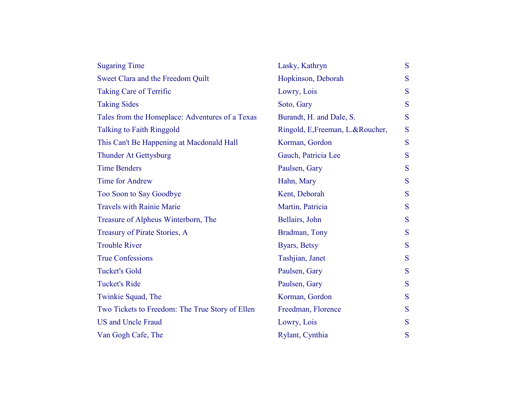| <b>Sugaring Time</b>                            | Lasky, Kathryn                   | S |
|-------------------------------------------------|----------------------------------|---|
| Sweet Clara and the Freedom Quilt               | Hopkinson, Deborah               | S |
| <b>Taking Care of Terrific</b>                  | Lowry, Lois                      | S |
| <b>Taking Sides</b>                             | Soto, Gary                       | S |
| Tales from the Homeplace: Adventures of a Texas | Burandt, H. and Dale, S.         | S |
| <b>Talking to Faith Ringgold</b>                | Ringold, E, Freeman, L.&Roucher, | S |
| This Can't Be Happening at Macdonald Hall       | Korman, Gordon                   | S |
| <b>Thunder At Gettysburg</b>                    | Gauch, Patricia Lee              | S |
| <b>Time Benders</b>                             | Paulsen, Gary                    | S |
| <b>Time for Andrew</b>                          | Hahn, Mary                       | S |
| Too Soon to Say Goodbye                         | Kent, Deborah                    | S |
| <b>Travels with Rainie Marie</b>                | Martin, Patricia                 | S |
| Treasure of Alpheus Winterborn, The             | Bellairs, John                   | S |
| Treasury of Pirate Stories, A                   | Bradman, Tony                    | S |
| <b>Trouble River</b>                            | Byars, Betsy                     | S |
| <b>True Confessions</b>                         | Tashjian, Janet                  | S |
| <b>Tucket's Gold</b>                            | Paulsen, Gary                    | S |
| <b>Tucket's Ride</b>                            | Paulsen, Gary                    | S |
| Twinkie Squad, The                              | Korman, Gordon                   | S |
| Two Tickets to Freedom: The True Story of Ellen | Freedman, Florence               | S |
| <b>US and Uncle Fraud</b>                       | Lowry, Lois                      | S |
| Van Gogh Cafe, The                              | Rylant, Cynthia                  | S |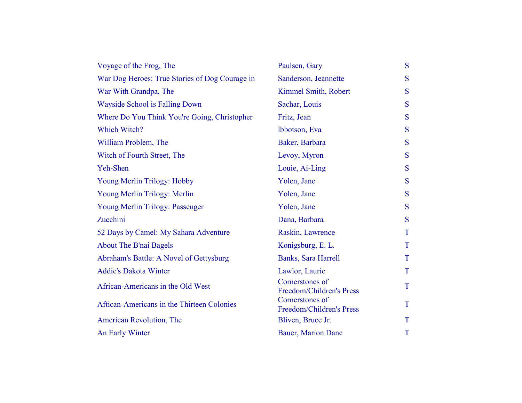| Voyage of the Frog, The                        | Paulsen, Gary                               | S |
|------------------------------------------------|---------------------------------------------|---|
| War Dog Heroes: True Stories of Dog Courage in | Sanderson, Jeannette                        | S |
| War With Grandpa, The                          | Kimmel Smith, Robert                        | S |
| Wayside School is Falling Down                 | Sachar, Louis                               | S |
| Where Do You Think You're Going, Christopher   | Fritz, Jean                                 | S |
| Which Witch?                                   | Ibbotson, Eva                               | S |
| William Problem, The                           | Baker, Barbara                              | S |
| Witch of Fourth Street, The                    | Levoy, Myron                                | S |
| Yeh-Shen                                       | Louie, Ai-Ling                              | S |
| Young Merlin Trilogy: Hobby                    | Yolen, Jane                                 | S |
| Young Merlin Trilogy: Merlin                   | Yolen, Jane                                 | S |
| Young Merlin Trilogy: Passenger                | Yolen, Jane                                 | S |
| Zucchini                                       | Dana, Barbara                               | S |
| 52 Days by Camel: My Sahara Adventure          | Raskin, Lawrence                            | T |
| <b>About The B'nai Bagels</b>                  | Konigsburg, E. L.                           | T |
| Abraham's Battle: A Novel of Gettysburg        | Banks, Sara Harrell                         | T |
| <b>Addie's Dakota Winter</b>                   | Lawlor, Laurie                              | T |
| African-Americans in the Old West              | Cornerstones of<br>Freedom/Children's Press | T |
| Aftican-Americans in the Thirteen Colonies     | Cornerstones of<br>Freedom/Children's Press | T |
| American Revolution, The                       | Bliven, Bruce Jr.                           | T |
| An Early Winter                                | Bauer, Marion Dane                          | T |
|                                                |                                             |   |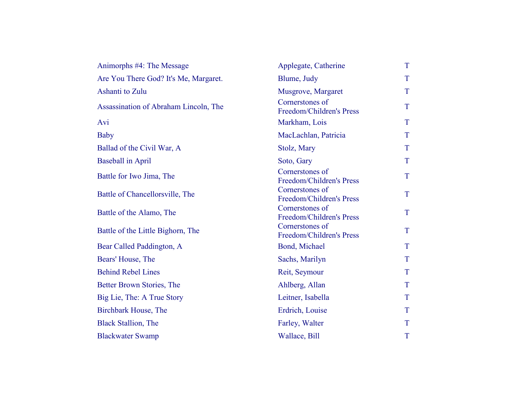| Animorphs #4: The Message             | Applegate, Catherine                        | T           |
|---------------------------------------|---------------------------------------------|-------------|
| Are You There God? It's Me, Margaret. | Blume, Judy                                 | $\mathbf T$ |
| Ashanti to Zulu                       | Musgrove, Margaret                          | T           |
| Assassination of Abraham Lincoln, The | Cornerstones of<br>Freedom/Children's Press | T           |
| Avi                                   | Markham, Lois                               | T           |
| <b>Baby</b>                           | MacLachlan, Patricia                        | T           |
| Ballad of the Civil War, A            | Stolz, Mary                                 | T           |
| <b>Baseball in April</b>              | Soto, Gary                                  | T           |
| Battle for Iwo Jima, The              | Cornerstones of<br>Freedom/Children's Press | T           |
| Battle of Chancellorsville, The       | Cornerstones of<br>Freedom/Children's Press | T           |
| Battle of the Alamo, The              | Cornerstones of<br>Freedom/Children's Press | T           |
| Battle of the Little Bighorn, The     | Cornerstones of<br>Freedom/Children's Press | T           |
| Bear Called Paddington, A             | Bond, Michael                               | T           |
| Bears' House, The                     | Sachs, Marilyn                              | T           |
| <b>Behind Rebel Lines</b>             | Reit, Seymour                               | T           |
| Better Brown Stories, The             | Ahlberg, Allan                              | $\mathbf T$ |
| Big Lie, The: A True Story            | Leitner, Isabella                           | T           |
| Birchbark House, The                  | Erdrich, Louise                             | T           |
| <b>Black Stallion, The</b>            | Farley, Walter                              | T           |
| <b>Blackwater Swamp</b>               | Wallace, Bill                               | T           |
|                                       |                                             |             |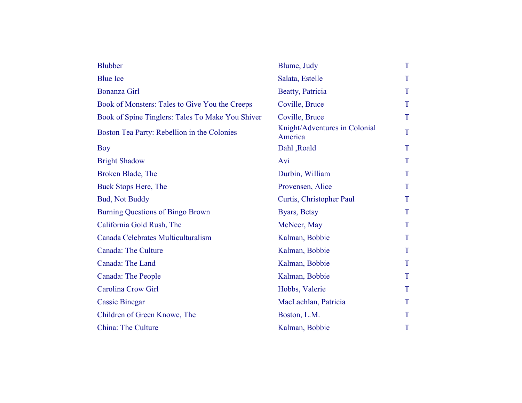| <b>Blubber</b>                                   | Blume, Judy                              | T |
|--------------------------------------------------|------------------------------------------|---|
| <b>Blue Ice</b>                                  | Salata, Estelle                          | T |
| <b>Bonanza Girl</b>                              | Beatty, Patricia                         | T |
| Book of Monsters: Tales to Give You the Creeps   | Coville, Bruce                           | T |
| Book of Spine Tinglers: Tales To Make You Shiver | Coville, Bruce                           | T |
| Boston Tea Party: Rebellion in the Colonies      | Knight/Adventures in Colonial<br>America | T |
| Boy                                              | Dahl, Roald                              | T |
| <b>Bright Shadow</b>                             | Avi                                      | T |
| Broken Blade, The                                | Durbin, William                          | T |
| <b>Buck Stops Here, The</b>                      | Provensen, Alice                         | T |
| <b>Bud, Not Buddy</b>                            | Curtis, Christopher Paul                 | T |
| <b>Burning Questions of Bingo Brown</b>          | Byars, Betsy                             | T |
| California Gold Rush, The                        | McNeer, May                              | T |
| Canada Celebrates Multiculturalism               | Kalman, Bobbie                           | T |
| <b>Canada: The Culture</b>                       | Kalman, Bobbie                           | T |
| Canada: The Land                                 | Kalman, Bobbie                           | T |
| Canada: The People                               | Kalman, Bobbie                           | T |
| Carolina Crow Girl                               | Hobbs, Valerie                           | T |
| <b>Cassie Binegar</b>                            | MacLachlan, Patricia                     | T |
| Children of Green Knowe, The                     | Boston, L.M.                             | T |
| <b>China: The Culture</b>                        | Kalman, Bobbie                           | T |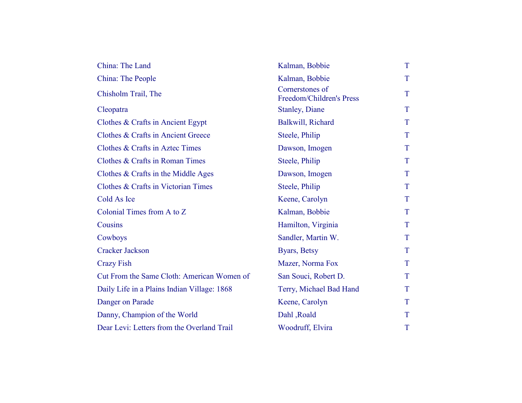| China: The Land                               | Kalman, Bobbie                              | T |
|-----------------------------------------------|---------------------------------------------|---|
| China: The People                             | Kalman, Bobbie                              | T |
| Chisholm Trail, The                           | Cornerstones of<br>Freedom/Children's Press | T |
| Cleopatra                                     | <b>Stanley</b> , Diane                      | T |
| Clothes & Crafts in Ancient Egypt             | Balkwill, Richard                           | T |
| <b>Clothes &amp; Crafts in Ancient Greece</b> | Steele, Philip                              | T |
| Clothes & Crafts in Aztec Times               | Dawson, Imogen                              | T |
| Clothes & Crafts in Roman Times               | Steele, Philip                              | T |
| Clothes & Crafts in the Middle Ages           | Dawson, Imogen                              | T |
| Clothes & Crafts in Victorian Times           | Steele, Philip                              | T |
| Cold As Ice                                   | Keene, Carolyn                              | T |
| Colonial Times from A to Z                    | Kalman, Bobbie                              | T |
| Cousins                                       | Hamilton, Virginia                          | T |
| Cowboys                                       | Sandler, Martin W.                          | T |
| <b>Cracker Jackson</b>                        | Byars, Betsy                                | T |
| <b>Crazy Fish</b>                             | Mazer, Norma Fox                            | T |
| Cut From the Same Cloth: American Women of    | San Souci, Robert D.                        | T |
| Daily Life in a Plains Indian Village: 1868   | Terry, Michael Bad Hand                     | T |
| Danger on Parade                              | Keene, Carolyn                              | T |
| Danny, Champion of the World                  | Dahl, Roald                                 | T |
| Dear Levi: Letters from the Overland Trail    | Woodruff, Elvira                            | T |
|                                               |                                             |   |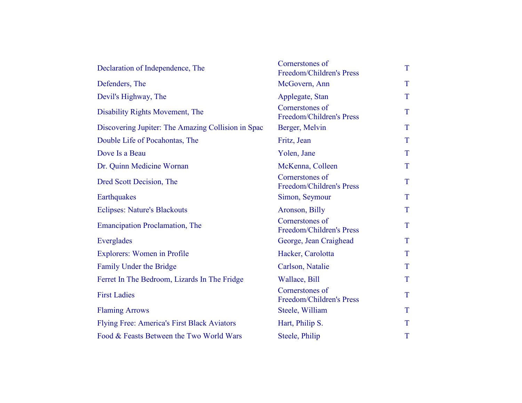| Declaration of Independence, The                   | Cornerstones of<br>Freedom/Children's Press | $\mathbf T$ |
|----------------------------------------------------|---------------------------------------------|-------------|
| Defenders, The                                     | McGovern, Ann                               | T           |
| Devil's Highway, The                               | Applegate, Stan                             | T           |
| Disability Rights Movement, The                    | Cornerstones of<br>Freedom/Children's Press | T           |
| Discovering Jupiter: The Amazing Collision in Spac | Berger, Melvin                              | T           |
| Double Life of Pocahontas, The                     | Fritz, Jean                                 | T           |
| Dove Is a Beau                                     | Yolen, Jane                                 | T           |
| Dr. Quinn Medicine Wornan                          | McKenna, Colleen                            | T           |
| Dred Scott Decision, The                           | Cornerstones of<br>Freedom/Children's Press | T           |
| Earthquakes                                        | Simon, Seymour                              | T           |
| <b>Eclipses: Nature's Blackouts</b>                | Aronson, Billy                              | T           |
| <b>Emancipation Proclamation, The</b>              | Cornerstones of<br>Freedom/Children's Press | T           |
| Everglades                                         | George, Jean Craighead                      | T           |
| <b>Explorers:</b> Women in Profile                 | Hacker, Carolotta                           | T           |
| Family Under the Bridge                            | Carlson, Natalie                            | T           |
| Ferret In The Bedroom, Lizards In The Fridge       | Wallace, Bill                               | T           |
| <b>First Ladies</b>                                | Cornerstones of<br>Freedom/Children's Press | T           |
| <b>Flaming Arrows</b>                              | Steele, William                             | T           |
| Flying Free: America's First Black Aviators        | Hart, Philip S.                             | T           |
| Food & Feasts Between the Two World Wars           | Steele, Philip                              | T           |
|                                                    |                                             |             |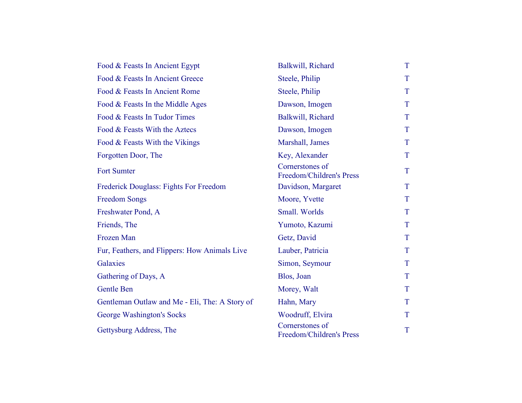| Food & Feasts In Ancient Egypt                 | Balkwill, Richard                           | T |
|------------------------------------------------|---------------------------------------------|---|
| Food & Feasts In Ancient Greece                | Steele, Philip                              | T |
| Food & Feasts In Ancient Rome                  | Steele, Philip                              | T |
| Food & Feasts In the Middle Ages               | Dawson, Imogen                              | T |
| Food & Feasts In Tudor Times                   | Balkwill, Richard                           | T |
| Food & Feasts With the Aztecs                  | Dawson, Imogen                              | T |
| Food & Feasts With the Vikings                 | Marshall, James                             | T |
| Forgotten Door, The                            | Key, Alexander                              | T |
| <b>Fort Sumter</b>                             | Cornerstones of<br>Freedom/Children's Press | T |
| Frederick Douglass: Fights For Freedom         | Davidson, Margaret                          | T |
| <b>Freedom Songs</b>                           | Moore, Yvette                               | T |
| Freshwater Pond, A                             | Small. Worlds                               | T |
| Friends, The                                   | Yumoto, Kazumi                              | T |
| Frozen Man                                     | Getz, David                                 | T |
| Fur, Feathers, and Flippers: How Animals Live  | Lauber, Patricia                            | T |
| Galaxies                                       | Simon, Seymour                              | T |
| Gathering of Days, A                           | Blos, Joan                                  | T |
| Gentle Ben                                     | Morey, Walt                                 | T |
| Gentleman Outlaw and Me - Eli, The: A Story of | Hahn, Mary                                  | T |
| George Washington's Socks                      | Woodruff, Elvira                            | T |
| Gettysburg Address, The                        | Cornerstones of<br>Freedom/Children's Press | T |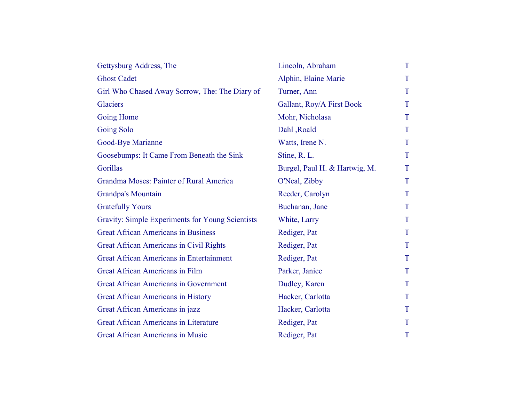| Gettysburg Address, The                          | Lincoln, Abraham              | T |
|--------------------------------------------------|-------------------------------|---|
| <b>Ghost Cadet</b>                               | Alphin, Elaine Marie          | T |
| Girl Who Chased Away Sorrow, The: The Diary of   | Turner, Ann                   | T |
| <b>Glaciers</b>                                  | Gallant, Roy/A First Book     | T |
| <b>Going Home</b>                                | Mohr, Nicholasa               | T |
| <b>Going Solo</b>                                | Dahl, Roald                   | T |
| Good-Bye Marianne                                | Watts, Irene N.               | T |
| Goosebumps: It Came From Beneath the Sink        | Stine, R. L.                  | T |
| Gorillas                                         | Burgel, Paul H. & Hartwig, M. | T |
| <b>Grandma Moses: Painter of Rural America</b>   | O'Neal, Zibby                 | T |
| Grandpa's Mountain                               | Reeder, Carolyn               | T |
| <b>Gratefully Yours</b>                          | Buchanan, Jane                | T |
| Gravity: Simple Experiments for Young Scientists | White, Larry                  | T |
| <b>Great African Americans in Business</b>       | Rediger, Pat                  | T |
| <b>Great African Americans in Civil Rights</b>   | Rediger, Pat                  | T |
| <b>Great African Americans in Entertainment</b>  | Rediger, Pat                  | T |
| <b>Great African Americans in Film</b>           | Parker, Janice                | T |
| <b>Great African Americans in Government</b>     | Dudley, Karen                 | T |
| <b>Great African Americans in History</b>        | Hacker, Carlotta              | T |
| Great African Americans in jazz                  | Hacker, Carlotta              | T |
| <b>Great African Americans in Literature</b>     | Rediger, Pat                  | T |
| Great African Americans in Music                 | Rediger, Pat                  | T |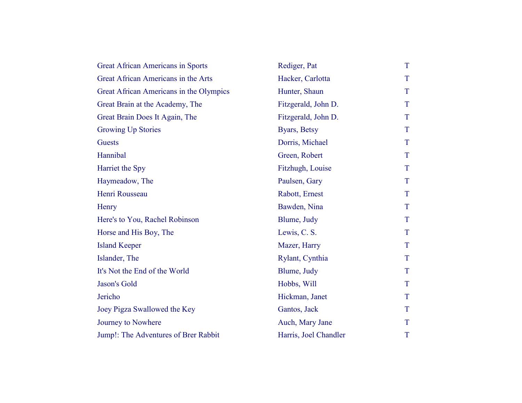| <b>Great African Americans in Sports</b> | Rediger, Pat          | T |
|------------------------------------------|-----------------------|---|
| Great African Americans in the Arts      | Hacker, Carlotta      | T |
| Great African Americans in the Olympics  | Hunter, Shaun         | T |
| Great Brain at the Academy, The          | Fitzgerald, John D.   | T |
| Great Brain Does It Again, The           | Fitzgerald, John D.   | T |
| <b>Growing Up Stories</b>                | Byars, Betsy          | T |
| <b>Guests</b>                            | Dorris, Michael       | T |
| Hannibal                                 | Green, Robert         | T |
| Harriet the Spy                          | Fitzhugh, Louise      | T |
| Haymeadow, The                           | Paulsen, Gary         | T |
| Henri Rousseau                           | Rabott, Ernest        | T |
| Henry                                    | Bawden, Nina          | T |
| Here's to You, Rachel Robinson           | Blume, Judy           | T |
| Horse and His Boy, The                   | Lewis, C. S.          | T |
| <b>Island Keeper</b>                     | Mazer, Harry          | T |
| Islander, The                            | Rylant, Cynthia       | T |
| It's Not the End of the World            | Blume, Judy           | T |
| Jason's Gold                             | Hobbs, Will           | T |
| Jericho                                  | Hickman, Janet        | T |
| Joey Pigza Swallowed the Key             | Gantos, Jack          | T |
| Journey to Nowhere                       | Auch, Mary Jane       | T |
| Jump!: The Adventures of Brer Rabbit     | Harris, Joel Chandler | T |
|                                          |                       |   |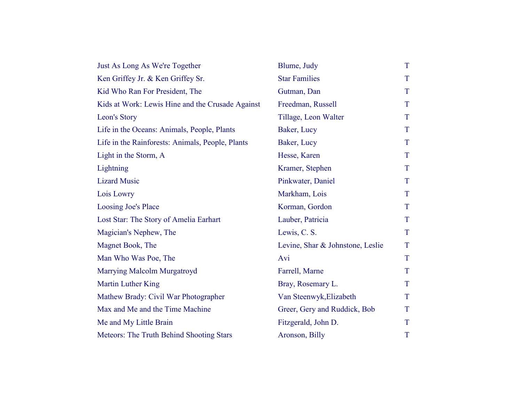| Just As Long As We're Together                   | Blume, Judy                      | T |
|--------------------------------------------------|----------------------------------|---|
| Ken Griffey Jr. & Ken Griffey Sr.                | <b>Star Families</b>             | T |
| Kid Who Ran For President, The                   | Gutman, Dan                      | T |
| Kids at Work: Lewis Hine and the Crusade Against | Freedman, Russell                | T |
| Leon's Story                                     | Tillage, Leon Walter             | T |
| Life in the Oceans: Animals, People, Plants      | Baker, Lucy                      | T |
| Life in the Rainforests: Animals, People, Plants | Baker, Lucy                      | T |
| Light in the Storm, A                            | Hesse, Karen                     | T |
| Lightning                                        | Kramer, Stephen                  | T |
| <b>Lizard Music</b>                              | Pinkwater, Daniel                | T |
| Lois Lowry                                       | Markham, Lois                    | T |
| Loosing Joe's Place                              | Korman, Gordon                   | T |
| Lost Star: The Story of Amelia Earhart           | Lauber, Patricia                 | T |
| Magician's Nephew, The                           | Lewis, C. S.                     | T |
| Magnet Book, The                                 | Levine, Shar & Johnstone, Leslie | T |
| Man Who Was Poe, The                             | Avi                              | T |
| <b>Marrying Malcolm Murgatroyd</b>               | Farrell, Marne                   | T |
| <b>Martin Luther King</b>                        | Bray, Rosemary L.                | T |
| Mathew Brady: Civil War Photographer             | Van Steenwyk, Elizabeth          | T |
| Max and Me and the Time Machine                  | Greer, Gery and Ruddick, Bob     | T |
| Me and My Little Brain                           | Fitzgerald, John D.              | T |
| <b>Meteors: The Truth Behind Shooting Stars</b>  | Aronson, Billy                   | T |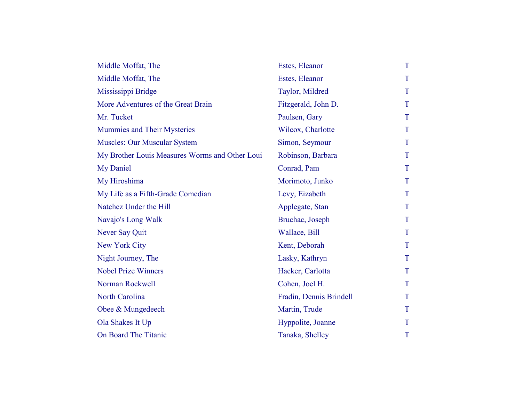| Middle Moffat, The                             | Estes, Eleanor          | T |
|------------------------------------------------|-------------------------|---|
| Middle Moffat, The                             | Estes, Eleanor          | T |
| Mississippi Bridge                             | Taylor, Mildred         | T |
| More Adventures of the Great Brain             | Fitzgerald, John D.     | T |
| Mr. Tucket                                     | Paulsen, Gary           | T |
| Mummies and Their Mysteries                    | Wilcox, Charlotte       | T |
| <b>Muscles: Our Muscular System</b>            | Simon, Seymour          | T |
| My Brother Louis Measures Worms and Other Loui | Robinson, Barbara       | T |
| My Daniel                                      | Conrad, Pam             | T |
| My Hiroshima                                   | Morimoto, Junko         | T |
| My Life as a Fifth-Grade Comedian              | Levy, Eizabeth          | T |
| Natchez Under the Hill                         | Applegate, Stan         | T |
| Navajo's Long Walk                             | Bruchac, Joseph         | T |
| Never Say Quit                                 | Wallace, Bill           | T |
| New York City                                  | Kent, Deborah           | T |
| Night Journey, The                             | Lasky, Kathryn          | T |
| <b>Nobel Prize Winners</b>                     | Hacker, Carlotta        | T |
| Norman Rockwell                                | Cohen, Joel H.          | T |
| <b>North Carolina</b>                          | Fradin, Dennis Brindell | T |
| Obee & Mungedeech                              | Martin, Trude           | T |
| Ola Shakes It Up                               | Hyppolite, Joanne       | T |
| On Board The Titanic                           | Tanaka, Shelley         | T |
|                                                |                         |   |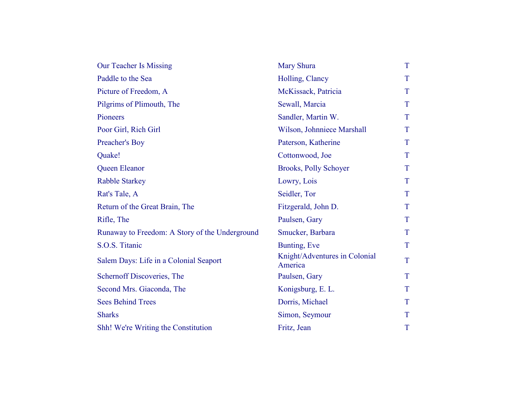| <b>Our Teacher Is Missing</b>                  | <b>Mary Shura</b>                        | T |
|------------------------------------------------|------------------------------------------|---|
| Paddle to the Sea                              | Holling, Clancy                          | T |
| Picture of Freedom, A                          | McKissack, Patricia                      | T |
| Pilgrims of Plimouth, The                      | Sewall, Marcia                           | T |
| Pioneers                                       | Sandler, Martin W.                       | T |
| Poor Girl, Rich Girl                           | Wilson, Johnniece Marshall               | T |
| Preacher's Boy                                 | Paterson, Katherine                      | T |
| Quake!                                         | Cottonwood, Joe                          | T |
| Queen Eleanor                                  | <b>Brooks, Polly Schoyer</b>             | T |
| <b>Rabble Starkey</b>                          | Lowry, Lois                              | T |
| Rat's Tale, A                                  | Seidler, Tor                             | T |
| Return of the Great Brain, The                 | Fitzgerald, John D.                      | T |
| Rifle, The                                     | Paulsen, Gary                            | T |
| Runaway to Freedom: A Story of the Underground | Smucker, Barbara                         | T |
| S.O.S. Titanic                                 | Bunting, Eve                             | T |
| Salem Days: Life in a Colonial Seaport         | Knight/Adventures in Colonial<br>America | T |
| Schernoff Discoveries, The                     | Paulsen, Gary                            | T |
| Second Mrs. Giaconda, The                      | Konigsburg, E. L.                        | T |
| <b>Sees Behind Trees</b>                       | Dorris, Michael                          | T |
| <b>Sharks</b>                                  | Simon, Seymour                           | T |
| Shh! We're Writing the Constitution            | Fritz, Jean                              | T |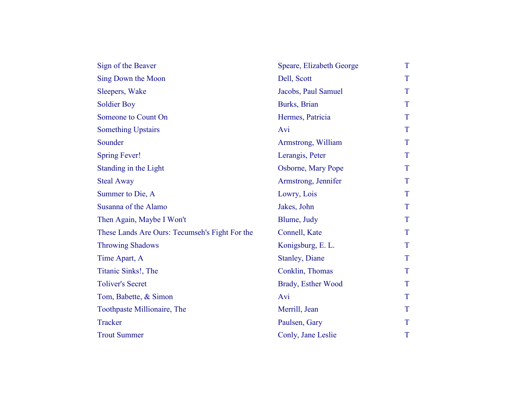| Sign of the Beaver                             | Speare, Elizabeth George | T |
|------------------------------------------------|--------------------------|---|
| Sing Down the Moon                             | Dell, Scott              | T |
| Sleepers, Wake                                 | Jacobs, Paul Samuel      | T |
| <b>Soldier Boy</b>                             | Burks, Brian             | T |
| Someone to Count On                            | Hermes, Patricia         | T |
| <b>Something Upstairs</b>                      | Avi                      | T |
| Sounder                                        | Armstrong, William       | T |
| <b>Spring Fever!</b>                           | Lerangis, Peter          | T |
| Standing in the Light                          | Osborne, Mary Pope       | T |
| <b>Steal Away</b>                              | Armstrong, Jennifer      | T |
| Summer to Die, A                               | Lowry, Lois              | T |
| Susanna of the Alamo                           | Jakes, John              | T |
| Then Again, Maybe I Won't                      | Blume, Judy              | T |
| These Lands Are Ours: Tecumseh's Fight For the | Connell, Kate            | T |
| <b>Throwing Shadows</b>                        | Konigsburg, E. L.        | T |
| Time Apart, A                                  | <b>Stanley, Diane</b>    | T |
| Titanic Sinks!, The                            | Conklin, Thomas          | T |
| <b>Toliver's Secret</b>                        | Brady, Esther Wood       | T |
| Tom, Babette, & Simon                          | Avi                      | T |
| Toothpaste Millionaire, The                    | Merrill, Jean            | T |
| <b>Tracker</b>                                 | Paulsen, Gary            | T |
| <b>Trout Summer</b>                            | Conly, Jane Leslie       | T |
|                                                |                          |   |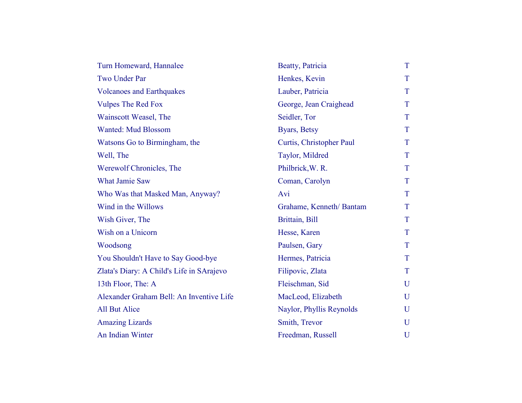| Turn Homeward, Hannalee                   | Beatty, Patricia         | T |
|-------------------------------------------|--------------------------|---|
| Two Under Par                             | Henkes, Kevin            | T |
| <b>Volcanoes and Earthquakes</b>          | Lauber, Patricia         | T |
| <b>Vulpes The Red Fox</b>                 | George, Jean Craighead   | T |
| Wainscott Weasel, The                     | Seidler, Tor             | T |
| <b>Wanted: Mud Blossom</b>                | Byars, Betsy             | T |
| Watsons Go to Birmingham, the             | Curtis, Christopher Paul | T |
| Well, The                                 | Taylor, Mildred          | T |
| Werewolf Chronicles, The                  | Philbrick, W. R.         | T |
| <b>What Jamie Saw</b>                     | Coman, Carolyn           | T |
| Who Was that Masked Man, Anyway?          | Avi                      | T |
| Wind in the Willows                       | Grahame, Kenneth/Bantam  | T |
| Wish Giver, The                           | Brittain, Bill           | T |
| Wish on a Unicorn                         | Hesse, Karen             | T |
| Woodsong                                  | Paulsen, Gary            | T |
| You Shouldn't Have to Say Good-bye        | Hermes, Patricia         | T |
| Zlata's Diary: A Child's Life in SArajevo | Filipovic, Zlata         | T |
| 13th Floor, The: A                        | Fleischman, Sid          | U |
| Alexander Graham Bell: An Inventive Life  | MacLeod, Elizabeth       | U |
| <b>All But Alice</b>                      | Naylor, Phyllis Reynolds | U |
| <b>Amazing Lizards</b>                    | Smith, Trevor            | U |
| An Indian Winter                          | Freedman, Russell        | U |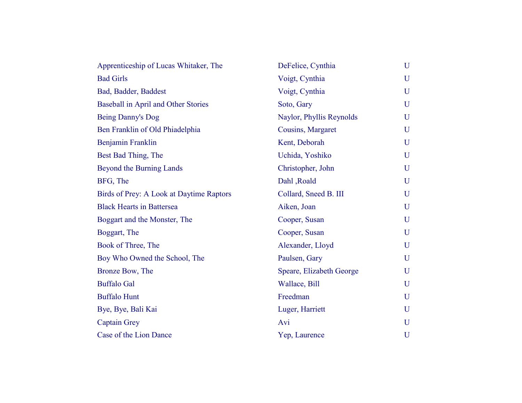| Apprenticeship of Lucas Whitaker, The    | DeFelice, Cynthia        | U |
|------------------------------------------|--------------------------|---|
| <b>Bad Girls</b>                         | Voigt, Cynthia           | U |
| Bad, Badder, Baddest                     | Voigt, Cynthia           | U |
| Baseball in April and Other Stories      | Soto, Gary               | U |
| Being Danny's Dog                        | Naylor, Phyllis Reynolds | U |
| Ben Franklin of Old Phiadelphia          | Cousins, Margaret        | U |
| Benjamin Franklin                        | Kent, Deborah            | U |
| Best Bad Thing, The                      | Uchida, Yoshiko          | U |
| <b>Beyond the Burning Lands</b>          | Christopher, John        | U |
| BFG, The                                 | Dahl, Roald              | U |
| Birds of Prey: A Look at Daytime Raptors | Collard, Sneed B. III    | U |
| <b>Black Hearts in Battersea</b>         | Aiken, Joan              | U |
| Boggart and the Monster, The             | Cooper, Susan            | U |
| Boggart, The                             | Cooper, Susan            | U |
| Book of Three, The                       | Alexander, Lloyd         | U |
| Boy Who Owned the School, The            | Paulsen, Gary            | U |
| Bronze Bow, The                          | Speare, Elizabeth George | U |
| <b>Buffalo Gal</b>                       | Wallace, Bill            | U |
| <b>Buffalo Hunt</b>                      | Freedman                 | U |
| Bye, Bye, Bali Kai                       | Luger, Harriett          | U |
| <b>Captain Grey</b>                      | Avi                      | U |
| Case of the Lion Dance                   | Yep, Laurence            | U |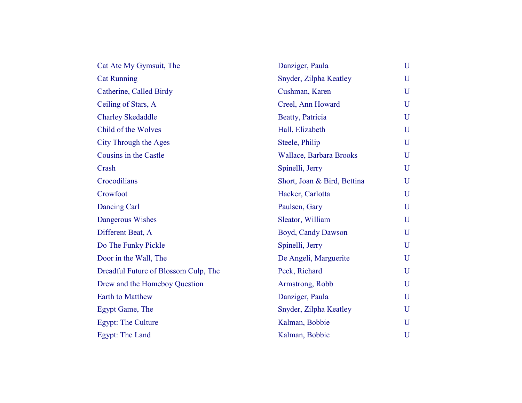| Cat Ate My Gymsuit, The              | Danziger, Paula             | U           |
|--------------------------------------|-----------------------------|-------------|
| <b>Cat Running</b>                   | Snyder, Zilpha Keatley      | U           |
| Catherine, Called Birdy              | Cushman, Karen              | $\mathbf U$ |
| Ceiling of Stars, A                  | Creel, Ann Howard           | $\mathbf U$ |
| <b>Charley Skedaddle</b>             | Beatty, Patricia            | U           |
| Child of the Wolves                  | Hall, Elizabeth             | $\mathbf U$ |
| City Through the Ages                | Steele, Philip              | $\mathbf U$ |
| Cousins in the Castle                | Wallace, Barbara Brooks     | U           |
| Crash                                | Spinelli, Jerry             | U           |
| Crocodilians                         | Short, Joan & Bird, Bettina | $\mathbf U$ |
| Crowfoot                             | Hacker, Carlotta            | U           |
| Dancing Carl                         | Paulsen, Gary               | $\mathbf U$ |
| Dangerous Wishes                     | Sleator, William            | $\mathbf U$ |
| Different Beat, A                    | Boyd, Candy Dawson          | $\mathbf U$ |
| Do The Funky Pickle                  | Spinelli, Jerry             | U           |
| Door in the Wall, The                | De Angeli, Marguerite       | U           |
| Dreadful Future of Blossom Culp, The | Peck, Richard               | U           |
| Drew and the Homeboy Question        | Armstrong, Robb             | U           |
| Earth to Matthew                     | Danziger, Paula             | $\mathbf U$ |
| Egypt Game, The                      | Snyder, Zilpha Keatley      | $\mathbf U$ |
| <b>Egypt: The Culture</b>            | Kalman, Bobbie              | U           |
| Egypt: The Land                      | Kalman, Bobbie              | U           |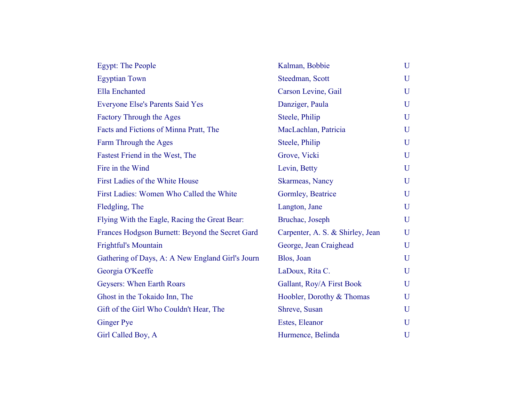| <b>Egypt: The People</b>                         | Kalman, Bobbie                   | U            |
|--------------------------------------------------|----------------------------------|--------------|
| <b>Egyptian Town</b>                             | Steedman, Scott                  | U            |
| <b>Ella</b> Enchanted                            | Carson Levine, Gail              | U            |
| <b>Everyone Else's Parents Said Yes</b>          | Danziger, Paula                  | $\mathbf{U}$ |
| <b>Factory Through the Ages</b>                  | Steele, Philip                   | U            |
| Facts and Fictions of Minna Pratt, The           | MacLachlan, Patricia             | U            |
| Farm Through the Ages                            | Steele, Philip                   | U            |
| Fastest Friend in the West, The                  | Grove, Vicki                     | U            |
| Fire in the Wind                                 | Levin, Betty                     | U            |
| First Ladies of the White House                  | Skarmeas, Nancy                  | U            |
| First Ladies: Women Who Called the White         | Gormley, Beatrice                | $\mathbf{U}$ |
| Fledgling, The                                   | Langton, Jane                    | U            |
| Flying With the Eagle, Racing the Great Bear:    | Bruchac, Joseph                  | U            |
| Frances Hodgson Burnett: Beyond the Secret Gard  | Carpenter, A. S. & Shirley, Jean | U            |
| <b>Frightful's Mountain</b>                      | George, Jean Craighead           | U            |
| Gathering of Days, A: A New England Girl's Journ | Blos, Joan                       | U            |
| Georgia O'Keeffe                                 | LaDoux, Rita C.                  | U            |
| Geysers: When Earth Roars                        | Gallant, Roy/A First Book        | $\mathbf{U}$ |
| Ghost in the Tokaido Inn, The                    | Hoobler, Dorothy & Thomas        | U            |
| Gift of the Girl Who Couldn't Hear, The          | Shreve, Susan                    | U            |
| <b>Ginger Pye</b>                                | Estes, Eleanor                   | U            |
| Girl Called Boy, A                               | Hurmence, Belinda                | U            |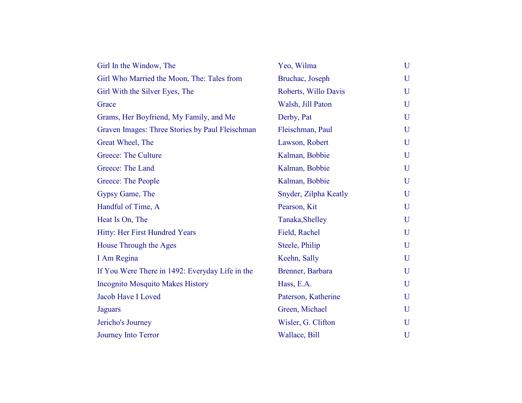| Girl In the Window, The                         | Yeo, Wilma            | U |
|-------------------------------------------------|-----------------------|---|
| Girl Who Married the Moon, The: Tales from      | Bruchac, Joseph       | U |
| Girl With the Silver Eyes, The                  | Roberts, Willo Davis  | U |
| Grace                                           | Walsh, Jill Paton     | U |
| Grams, Her Boyfriend, My Family, and Me         | Derby, Pat            | U |
| Graven Images: Three Stories by Paul Fleischman | Fleischman, Paul      | U |
| Great Wheel, The                                | Lawson, Robert        | U |
| <b>Greece: The Culture</b>                      | Kalman, Bobbie        | U |
| Greece: The Land                                | Kalman, Bobbie        | U |
| Greece: The People                              | Kalman, Bobbie        | U |
| Gypsy Game, The                                 | Snyder, Zilpha Keatly | U |
| Handful of Time, A                              | Pearson, Kit          | U |
| Heat Is On, The                                 | Tanaka, Shelley       | U |
| Hitty: Her First Hundred Years                  | Field, Rachel         | U |
| House Through the Ages                          | Steele, Philip        | U |
| I Am Regina                                     | Keehn, Sally          | U |
| If You Were There in 1492: Everyday Life in the | Brenner, Barbara      | U |
| <b>Incognito Mosquito Makes History</b>         | Hass, E.A.            | U |
| Jacob Have I Loved                              | Paterson, Katherine   | U |
| <b>Jaguars</b>                                  | Green, Michael        | U |
| Jericho's Journey                               | Wisler, G. Clifton    | U |
| <b>Journey Into Terror</b>                      | Wallace, Bill         | U |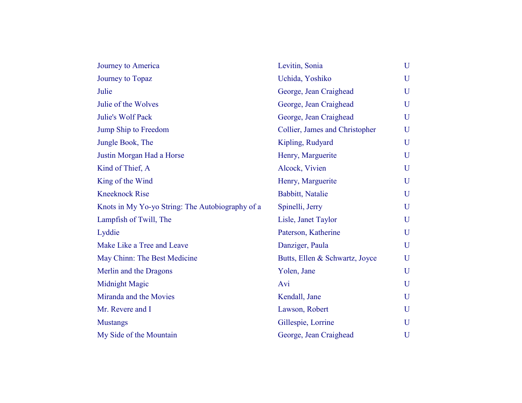| Journey to America                               | Levitin, Sonia                 | U           |
|--------------------------------------------------|--------------------------------|-------------|
| Journey to Topaz                                 | Uchida, Yoshiko                | U           |
| Julie                                            | George, Jean Craighead         | U           |
| Julie of the Wolves                              | George, Jean Craighead         | U           |
| <b>Julie's Wolf Pack</b>                         | George, Jean Craighead         | U           |
| Jump Ship to Freedom                             | Collier, James and Christopher | U           |
| Jungle Book, The                                 | Kipling, Rudyard               | U           |
| Justin Morgan Had a Horse                        | Henry, Marguerite              | U           |
| Kind of Thief, A                                 | Alcock, Vivien                 | U           |
| King of the Wind                                 | Henry, Marguerite              | U           |
| <b>Kneeknock Rise</b>                            | Babbitt, Natalie               | $\mathbf U$ |
| Knots in My Yo-yo String: The Autobiography of a | Spinelli, Jerry                | U           |
| Lampfish of Twill, The                           | Lisle, Janet Taylor            | U           |
| Lyddie                                           | Paterson, Katherine            | U           |
| Make Like a Tree and Leave                       | Danziger, Paula                | U           |
| May Chinn: The Best Medicine                     | Butts, Ellen & Schwartz, Joyce | U           |
| Merlin and the Dragons                           | Yolen, Jane                    | U           |
| <b>Midnight Magic</b>                            | Avi                            | U           |
| Miranda and the Movies                           | Kendall, Jane                  | U           |
| Mr. Revere and I                                 | Lawson, Robert                 | U           |
| <b>Mustangs</b>                                  | Gillespie, Lorrine             | U           |
| My Side of the Mountain                          | George, Jean Craighead         | U           |
|                                                  |                                |             |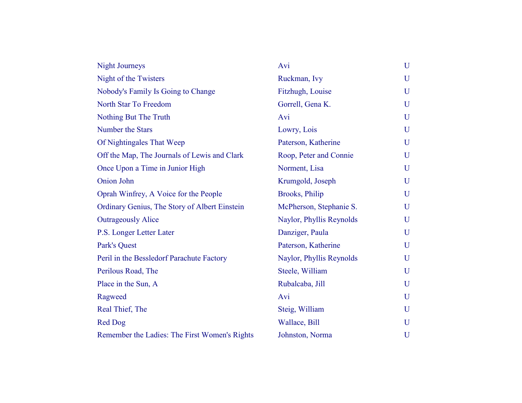| <b>Night Journeys</b>                         | Avi                      | U |
|-----------------------------------------------|--------------------------|---|
| Night of the Twisters                         | Ruckman, Ivy             | U |
| Nobody's Family Is Going to Change            | Fitzhugh, Louise         | U |
| North Star To Freedom                         | Gorrell, Gena K.         | U |
| Nothing But The Truth                         | Avi                      | U |
| Number the Stars                              | Lowry, Lois              | U |
| Of Nightingales That Weep                     | Paterson, Katherine      | U |
| Off the Map, The Journals of Lewis and Clark  | Roop, Peter and Connie   | U |
| Once Upon a Time in Junior High               | Norment, Lisa            | U |
| Onion John                                    | Krumgold, Joseph         | U |
| Oprah Winfrey, A Voice for the People         | <b>Brooks</b> , Philip   | U |
| Ordinary Genius, The Story of Albert Einstein | McPherson, Stephanie S.  | U |
| <b>Outrageously Alice</b>                     | Naylor, Phyllis Reynolds | U |
| P.S. Longer Letter Later                      | Danziger, Paula          | U |
| Park's Quest                                  | Paterson, Katherine      | U |
| Peril in the Bessledorf Parachute Factory     | Naylor, Phyllis Reynolds | U |
| Perilous Road, The                            | Steele, William          | U |
| Place in the Sun, A                           | Rubalcaba, Jill          | U |
| Ragweed                                       | Avi                      | U |
| Real Thief, The                               | Steig, William           | U |
| <b>Red Dog</b>                                | Wallace, Bill            | U |
| Remember the Ladies: The First Women's Rights | Johnston, Norma          | U |
|                                               |                          |   |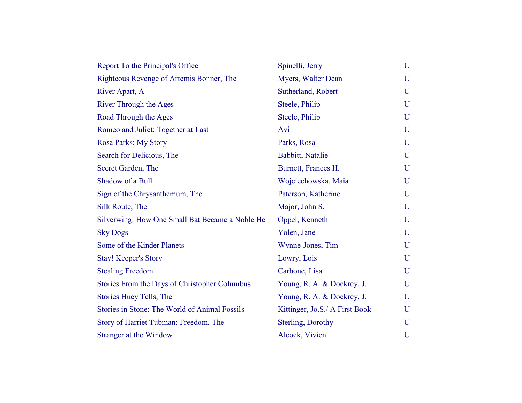| Report To the Principal's Office                | Spinelli, Jerry                | U |
|-------------------------------------------------|--------------------------------|---|
| Righteous Revenge of Artemis Bonner, The        | Myers, Walter Dean             | U |
| River Apart, A                                  | Sutherland, Robert             | U |
| <b>River Through the Ages</b>                   | Steele, Philip                 | U |
| Road Through the Ages                           | Steele, Philip                 | U |
| Romeo and Juliet: Together at Last              | Avi                            | U |
| Rosa Parks: My Story                            | Parks, Rosa                    | U |
| Search for Delicious, The                       | Babbitt, Natalie               | U |
| Secret Garden, The                              | Burnett, Frances H.            | U |
| Shadow of a Bull                                | Wojciechowska, Maia            | U |
| Sign of the Chrysanthemum, The                  | Paterson, Katherine            | U |
| Silk Route, The                                 | Major, John S.                 | U |
| Silverwing: How One Small Bat Became a Noble He | Oppel, Kenneth                 | U |
| <b>Sky Dogs</b>                                 | Yolen, Jane                    | U |
| Some of the Kinder Planets                      | Wynne-Jones, Tim               | U |
| <b>Stay! Keeper's Story</b>                     | Lowry, Lois                    | U |
| <b>Stealing Freedom</b>                         | Carbone, Lisa                  | U |
| Stories From the Days of Christopher Columbus   | Young, R. A. & Dockrey, J.     | U |
| Stories Huey Tells, The                         | Young, R. A. & Dockrey, J.     | U |
| Stories in Stone: The World of Animal Fossils   | Kittinger, Jo.S./ A First Book | U |
| Story of Harriet Tubman: Freedom, The           | Sterling, Dorothy              | U |
| Stranger at the Window                          | Alcock, Vivien                 | U |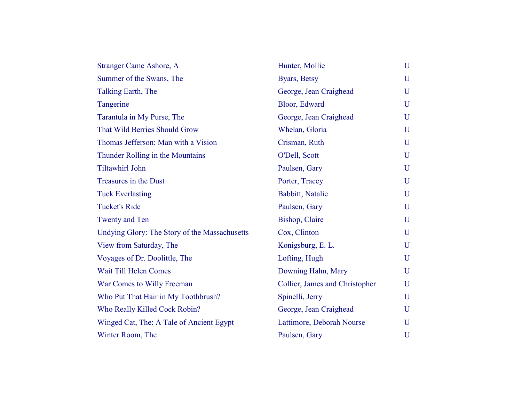| <b>Stranger Came Ashore, A</b>                | Hunter, Mollie                 | U |
|-----------------------------------------------|--------------------------------|---|
| Summer of the Swans, The                      | Byars, Betsy                   | U |
| Talking Earth, The                            | George, Jean Craighead         | U |
| Tangerine                                     | Bloor, Edward                  | U |
| Tarantula in My Purse, The                    | George, Jean Craighead         | U |
| <b>That Wild Berries Should Grow</b>          | Whelan, Gloria                 | U |
| Thomas Jefferson: Man with a Vision           | Crisman, Ruth                  | U |
| Thunder Rolling in the Mountains              | O'Dell, Scott                  | U |
| <b>Tiltawhirl John</b>                        | Paulsen, Gary                  | U |
| <b>Treasures in the Dust</b>                  | Porter, Tracey                 | U |
| <b>Tuck Everlasting</b>                       | Babbitt, Natalie               | U |
| <b>Tucket's Ride</b>                          | Paulsen, Gary                  | U |
| <b>Twenty and Ten</b>                         | Bishop, Claire                 | U |
| Undying Glory: The Story of the Massachusetts | Cox, Clinton                   | U |
| View from Saturday, The                       | Konigsburg, E. L.              | U |
| Voyages of Dr. Doolittle, The                 | Lofting, Hugh                  | U |
| Wait Till Helen Comes                         | Downing Hahn, Mary             | U |
| War Comes to Willy Freeman                    | Collier, James and Christopher | U |
| Who Put That Hair in My Toothbrush?           | Spinelli, Jerry                | U |
| Who Really Killed Cock Robin?                 | George, Jean Craighead         | U |
| Winged Cat, The: A Tale of Ancient Egypt      | Lattimore, Deborah Nourse      | U |
| Winter Room, The                              | Paulsen, Gary                  | U |
|                                               |                                |   |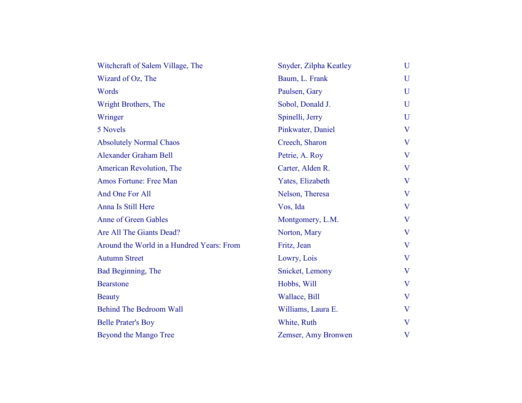| U                       |
|-------------------------|
| U                       |
| $\mathbf U$             |
| U                       |
| U                       |
| $\bf V$                 |
| V                       |
| $\overline{\mathbf{V}}$ |
| $\bf V$                 |
| $\bf V$                 |
| $\bf V$                 |
| $\bf V$                 |
| $\bf V$                 |
| $\bf V$                 |
| $\bf V$                 |
| V                       |
| $\bf V$                 |
| $\bf V$                 |
| V                       |
| $\bf V$                 |
| V                       |
| $\overline{\mathsf{V}}$ |
|                         |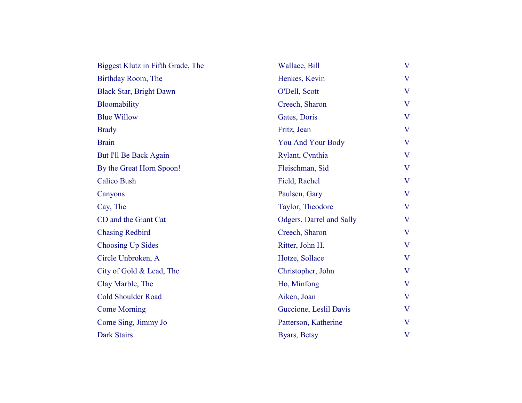| Biggest Klutz in Fifth Grade, The | Wallace, Bill            | $\bf V$                 |
|-----------------------------------|--------------------------|-------------------------|
| Birthday Room, The                | Henkes, Kevin            | $\overline{\mathsf{V}}$ |
| <b>Black Star, Bright Dawn</b>    | O'Dell, Scott            | V                       |
| Bloomability                      | Creech, Sharon           | V                       |
| <b>Blue Willow</b>                | Gates, Doris             | $\overline{\mathsf{V}}$ |
| <b>Brady</b>                      | Fritz, Jean              | $\bf V$                 |
| <b>Brain</b>                      | You And Your Body        | $\overline{\mathsf{V}}$ |
| But I'll Be Back Again            | Rylant, Cynthia          | $\bf V$                 |
| By the Great Horn Spoon!          | Fleischman, Sid          | $\overline{\mathsf{V}}$ |
| <b>Calico Bush</b>                | Field, Rachel            | V                       |
| Canyons                           | Paulsen, Gary            | V                       |
| Cay, The                          | Taylor, Theodore         | $\overline{\mathsf{V}}$ |
| CD and the Giant Cat              | Odgers, Darrel and Sally | $\bf V$                 |
| <b>Chasing Redbird</b>            | Creech, Sharon           | $\overline{\mathsf{V}}$ |
| <b>Choosing Up Sides</b>          | Ritter, John H.          | V                       |
| Circle Unbroken, A                | Hotze, Sollace           | V                       |
| City of Gold & Lead, The          | Christopher, John        | $\overline{\mathsf{V}}$ |
| Clay Marble, The                  | Ho, Minfong              | V                       |
| <b>Cold Shoulder Road</b>         | Aiken, Joan              | $\bf V$                 |
| <b>Come Morning</b>               | Guccione, Leslil Davis   | $\bf V$                 |
| Come Sing, Jimmy Jo               | Patterson, Katherine     | V                       |
| <b>Dark Stairs</b>                | Byars, Betsy             | $\bf V$                 |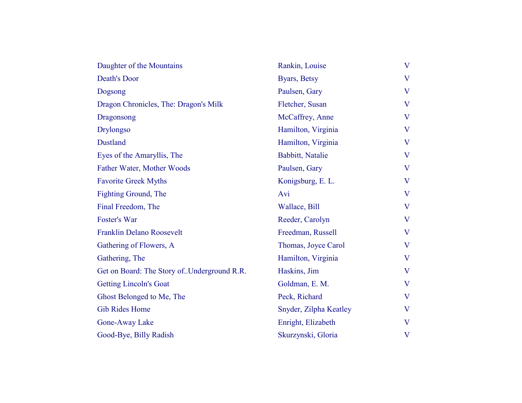| Daughter of the Mountains                    | Rankin, Louise         | V |
|----------------------------------------------|------------------------|---|
| <b>Death's Door</b>                          | Byars, Betsy           | V |
| Dogsong                                      | Paulsen, Gary          | V |
| Dragon Chronicles, The: Dragon's Milk        | Fletcher, Susan        | V |
| Dragonsong                                   | McCaffrey, Anne        | V |
| <b>Drylongso</b>                             | Hamilton, Virginia     | V |
| Dustland                                     | Hamilton, Virginia     | V |
| Eyes of the Amaryllis, The                   | Babbitt, Natalie       | V |
| Father Water, Mother Woods                   | Paulsen, Gary          | V |
| <b>Favorite Greek Myths</b>                  | Konigsburg, E. L.      | V |
| Fighting Ground, The                         | Avi                    | V |
| Final Freedom, The                           | Wallace, Bill          | V |
| Foster's War                                 | Reeder, Carolyn        | V |
| <b>Franklin Delano Roosevelt</b>             | Freedman, Russell      | V |
| Gathering of Flowers, A                      | Thomas, Joyce Carol    | V |
| Gathering, The                               | Hamilton, Virginia     | V |
| Get on Board: The Story of. Underground R.R. | Haskins, Jim           | V |
| <b>Getting Lincoln's Goat</b>                | Goldman, E. M.         | V |
| Ghost Belonged to Me, The                    | Peck, Richard          | V |
| <b>Gib Rides Home</b>                        | Snyder, Zilpha Keatley | V |
| Gone-Away Lake                               | Enright, Elizabeth     | V |
| Good-Bye, Billy Radish                       | Skurzynski, Gloria     | V |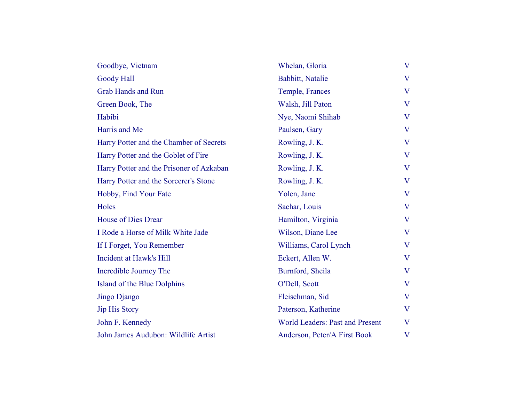| Goodbye, Vietnam                         | Whelan, Gloria                         | V                       |
|------------------------------------------|----------------------------------------|-------------------------|
| <b>Goody Hall</b>                        | Babbitt, Natalie                       | V                       |
| <b>Grab Hands and Run</b>                | Temple, Frances                        | $\overline{\mathsf{V}}$ |
| Green Book, The                          | Walsh, Jill Paton                      | V                       |
| Habibi                                   | Nye, Naomi Shihab                      | V                       |
| Harris and Me                            | Paulsen, Gary                          | V                       |
| Harry Potter and the Chamber of Secrets  | Rowling, J. K.                         | V                       |
| Harry Potter and the Goblet of Fire      | Rowling, J. K.                         | $\overline{\mathsf{V}}$ |
| Harry Potter and the Prisoner of Azkaban | Rowling, J. K.                         | V                       |
| Harry Potter and the Sorcerer's Stone    | Rowling, J. K.                         | V                       |
| Hobby, Find Your Fate                    | Yolen, Jane                            | V                       |
| Holes                                    | Sachar, Louis                          | V                       |
| <b>House of Dies Drear</b>               | Hamilton, Virginia                     | $\overline{\mathsf{V}}$ |
| I Rode a Horse of Milk White Jade        | Wilson, Diane Lee                      | V                       |
| If I Forget, You Remember                | Williams, Carol Lynch                  | $\overline{\mathbf{V}}$ |
| Incident at Hawk's Hill                  | Eckert, Allen W.                       | $\bf V$                 |
| Incredible Journey The                   | Burnford, Sheila                       | V                       |
| Island of the Blue Dolphins              | O'Dell, Scott                          | V                       |
| Jingo Django                             | Fleischman, Sid                        | $\bf V$                 |
| <b>Jip His Story</b>                     | Paterson, Katherine                    | $\overline{\mathbf{V}}$ |
| John F. Kennedy                          | <b>World Leaders: Past and Present</b> | V                       |
| John James Audubon: Wildlife Artist      | Anderson, Peter/A First Book           | $\bf V$                 |
|                                          |                                        |                         |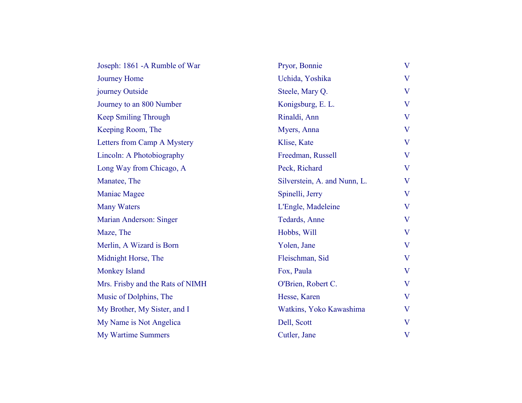| Joseph: 1861 - A Rumble of War   | Pryor, Bonnie                | V |
|----------------------------------|------------------------------|---|
| <b>Journey Home</b>              | Uchida, Yoshika              | V |
| journey Outside                  | Steele, Mary Q.              | V |
| Journey to an 800 Number         | Konigsburg, E. L.            | V |
| <b>Keep Smiling Through</b>      | Rinaldi, Ann                 | V |
| Keeping Room, The                | Myers, Anna                  | V |
| Letters from Camp A Mystery      | Klise, Kate                  | V |
| Lincoln: A Photobiography        | Freedman, Russell            | V |
| Long Way from Chicago, A         | Peck, Richard                | V |
| Manatee, The                     | Silverstein, A. and Nunn, L. | V |
| <b>Maniac Magee</b>              | Spinelli, Jerry              | V |
| <b>Many Waters</b>               | L'Engle, Madeleine           | V |
| Marian Anderson: Singer          | Tedards, Anne                | V |
| Maze, The                        | Hobbs, Will                  | V |
| Merlin, A Wizard is Born         | Yolen, Jane                  | V |
| Midnight Horse, The              | Fleischman, Sid              | V |
| <b>Monkey Island</b>             | Fox, Paula                   | V |
| Mrs. Frisby and the Rats of NIMH | O'Brien, Robert C.           | V |
| Music of Dolphins, The           | Hesse, Karen                 | V |
| My Brother, My Sister, and I     | Watkins, Yoko Kawashima      | V |
| My Name is Not Angelica          | Dell, Scott                  | V |
| <b>My Wartime Summers</b>        | Cutler, Jane                 | V |
|                                  |                              |   |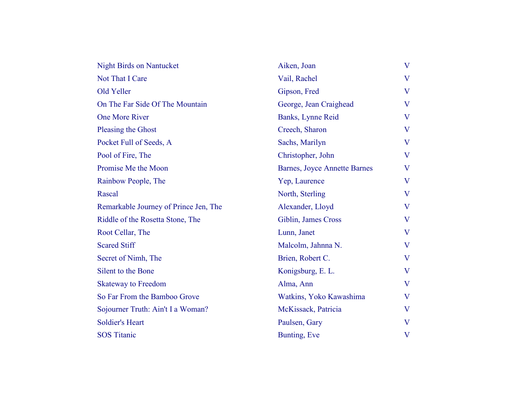| <b>Night Birds on Nantucket</b>       | Aiken, Joan                         | $\overline{\mathbf{V}}$ |
|---------------------------------------|-------------------------------------|-------------------------|
| Not That I Care                       | Vail, Rachel                        | $\overline{\mathbf{V}}$ |
| Old Yeller                            | Gipson, Fred                        | $\overline{\mathbf{V}}$ |
| On The Far Side Of The Mountain       | George, Jean Craighead              | V                       |
| One More River                        | Banks, Lynne Reid                   | $\overline{\mathbf{V}}$ |
| Pleasing the Ghost                    | Creech, Sharon                      | $\overline{\mathbf{V}}$ |
| Pocket Full of Seeds, A               | Sachs, Marilyn                      | $\overline{\mathbf{V}}$ |
| Pool of Fire, The                     | Christopher, John                   | $\overline{\mathbf{V}}$ |
| Promise Me the Moon                   | <b>Barnes, Joyce Annette Barnes</b> | $\overline{\mathsf{V}}$ |
| Rainbow People, The                   | Yep, Laurence                       | V                       |
| Rascal                                | North, Sterling                     | $\overline{\mathbf{V}}$ |
| Remarkable Journey of Prince Jen, The | Alexander, Lloyd                    | V                       |
| Riddle of the Rosetta Stone, The      | Giblin, James Cross                 | $\overline{\mathbf{V}}$ |
| Root Cellar, The                      | Lunn, Janet                         | $\overline{\mathbf{V}}$ |
| <b>Scared Stiff</b>                   | Malcolm, Jahnna N.                  | $\overline{\mathbf{V}}$ |
| Secret of Nimh, The                   | Brien, Robert C.                    | $\overline{\mathbf{V}}$ |
| Silent to the Bone                    | Konigsburg, E. L.                   | V                       |
| <b>Skateway to Freedom</b>            | Alma, Ann                           | $\overline{\mathbf{V}}$ |
| So Far From the Bamboo Grove          | Watkins, Yoko Kawashima             | V                       |
| Sojourner Truth: Ain't I a Woman?     | McKissack, Patricia                 | $\bf V$                 |
| <b>Soldier's Heart</b>                | Paulsen, Gary                       | $\overline{\mathbf{V}}$ |
| <b>SOS Titanic</b>                    | Bunting, Eve                        | V                       |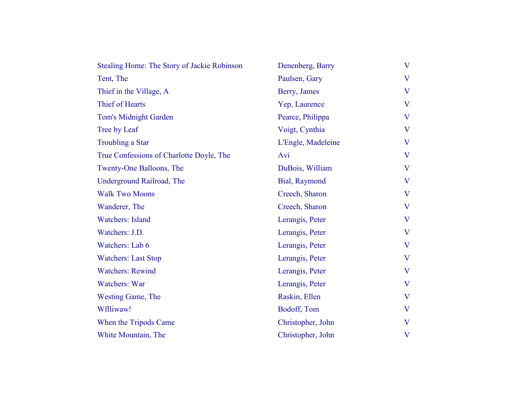| Stealing Home: The Story of Jackie Robinson | Denenberg, Barry   | $\bf V$ |
|---------------------------------------------|--------------------|---------|
| Tent, The                                   | Paulsen, Gary      | $\bf V$ |
| Thief in the Village, A                     | Berry, James       | V       |
| Thief of Hearts                             | Yep, Laurence      | V       |
| <b>Tom's Midnight Garden</b>                | Pearce, Philippa   | V       |
| Tree by Leaf                                | Voigt, Cynthia     | V       |
| <b>Troubling a Star</b>                     | L'Engle, Madeleine | $\bf V$ |
| True Confessions of Charlotte Doyle, The    | Avi                | V       |
| Twenty-One Balloons, The                    | DuBois, William    | V       |
| Underground Railroad, The                   | Bial, Raymond      | $\bf V$ |
| <b>Walk Two Moons</b>                       | Creech, Sharon     | $\bf V$ |
| Wanderer, The                               | Creech, Sharon     | $\bf V$ |
| <b>Watchers: Island</b>                     | Lerangis, Peter    | $\bf V$ |
| Watchers: J.D.                              | Lerangis, Peter    | V       |
| Watchers: Lab 6                             | Lerangis, Peter    | V       |
| <b>Watchers: Last Stop</b>                  | Lerangis, Peter    | $\bf V$ |
| <b>Watchers: Rewind</b>                     | Lerangis, Peter    | V       |
| <b>Watchers: War</b>                        | Lerangis, Peter    | $\bf V$ |
| <b>Westing Game, The</b>                    | Raskin, Ellen      | V       |
| Wflliwaw!                                   | Bodoff, Tom        | $\bf V$ |
| When the Tripods Came                       | Christopher, John  | $\bf V$ |
| White Mountain, The                         | Christopher, John  | $\bf V$ |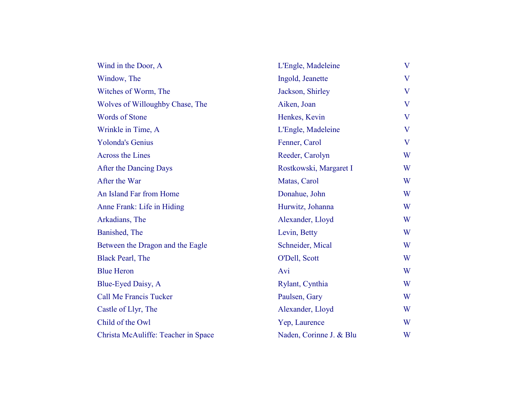| Wind in the Door, A                 | L'Engle, Madeleine      | V                       |
|-------------------------------------|-------------------------|-------------------------|
| Window, The                         | Ingold, Jeanette        | $\overline{\mathsf{V}}$ |
| Witches of Worm, The                | Jackson, Shirley        | V                       |
| Wolves of Willoughby Chase, The     | Aiken, Joan             | V                       |
| <b>Words of Stone</b>               | Henkes, Kevin           | $\overline{\mathsf{V}}$ |
| Wrinkle in Time, A                  | L'Engle, Madeleine      | $\overline{\mathsf{V}}$ |
| <b>Yolonda's Genius</b>             | Fenner, Carol           | V                       |
| <b>Across the Lines</b>             | Reeder, Carolyn         | W                       |
| After the Dancing Days              | Rostkowski, Margaret I  | W                       |
| After the War                       | Matas, Carol            | W                       |
| An Island Far from Home             | Donahue, John           | W                       |
| Anne Frank: Life in Hiding          | Hurwitz, Johanna        | W                       |
| Arkadians, The                      | Alexander, Lloyd        | W                       |
| Banished, The                       | Levin, Betty            | W                       |
| Between the Dragon and the Eagle    | Schneider, Mical        | W                       |
| <b>Black Pearl, The</b>             | O'Dell, Scott           | W                       |
| <b>Blue Heron</b>                   | Avi                     | W                       |
| Blue-Eyed Daisy, A                  | Rylant, Cynthia         | W                       |
| <b>Call Me Francis Tucker</b>       | Paulsen, Gary           | W                       |
| Castle of Llyr, The                 | Alexander, Lloyd        | W                       |
| Child of the Owl                    | Yep, Laurence           | W                       |
| Christa McAuliffe: Teacher in Space | Naden, Corinne J. & Blu | W                       |
|                                     |                         |                         |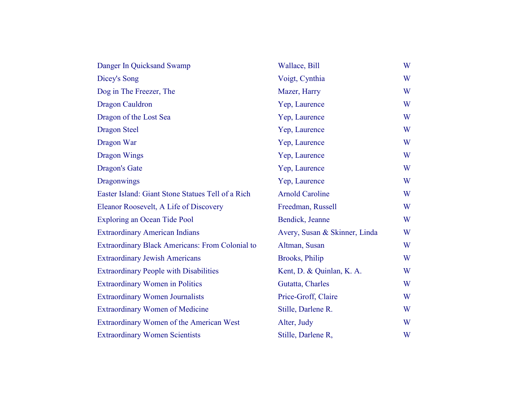| Danger In Quicksand Swamp                              | Wallace, Bill                 | W |
|--------------------------------------------------------|-------------------------------|---|
| Dicey's Song                                           | Voigt, Cynthia                | W |
| Dog in The Freezer, The                                | Mazer, Harry                  | W |
| <b>Dragon Cauldron</b>                                 | Yep, Laurence                 | W |
| Dragon of the Lost Sea                                 | Yep, Laurence                 | W |
| <b>Dragon Steel</b>                                    | Yep, Laurence                 | W |
| Dragon War                                             | Yep, Laurence                 | W |
| <b>Dragon Wings</b>                                    | Yep, Laurence                 | W |
| <b>Dragon's Gate</b>                                   | Yep, Laurence                 | W |
| <b>Dragonwings</b>                                     | Yep, Laurence                 | W |
| Easter Island: Giant Stone Statues Tell of a Rich      | <b>Arnold Caroline</b>        | W |
| Eleanor Roosevelt, A Life of Discovery                 | Freedman, Russell             | W |
| <b>Exploring an Ocean Tide Pool</b>                    | Bendick, Jeanne               | W |
| <b>Extraordinary American Indians</b>                  | Avery, Susan & Skinner, Linda | W |
| <b>Extraordinary Black Americans: From Colonial to</b> | Altman, Susan                 | W |
| <b>Extraordinary Jewish Americans</b>                  | Brooks, Philip                | W |
| <b>Extraordinary People with Disabilities</b>          | Kent, D. & Quinlan, K. A.     | W |
| <b>Extraordinary Women in Politics</b>                 | Gutatta, Charles              | W |
| <b>Extraordinary Women Journalists</b>                 | Price-Groff, Claire           | W |
| <b>Extraordinary Women of Medicine</b>                 | Stille, Darlene R.            | W |
| Extraordinary Women of the American West               | Alter, Judy                   | W |
| <b>Extraordinary Women Scientists</b>                  | Stille, Darlene R,            | W |
|                                                        |                               |   |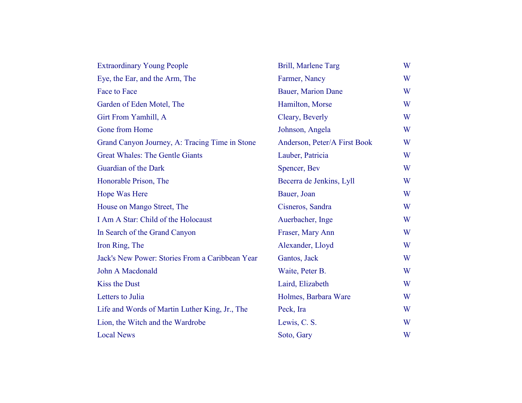| <b>Extraordinary Young People</b>               | Brill, Marlene Targ          | W |
|-------------------------------------------------|------------------------------|---|
| Eye, the Ear, and the Arm, The                  | Farmer, Nancy                | W |
| Face to Face                                    | <b>Bauer, Marion Dane</b>    | W |
| Garden of Eden Motel, The                       | Hamilton, Morse              | W |
| Girt From Yamhill, A                            | Cleary, Beverly              | W |
| Gone from Home                                  | Johnson, Angela              | W |
| Grand Canyon Journey, A: Tracing Time in Stone  | Anderson, Peter/A First Book | W |
| <b>Great Whales: The Gentle Giants</b>          | Lauber, Patricia             | W |
| Guardian of the Dark                            | Spencer, Bev                 | W |
| Honorable Prison, The                           | Becerra de Jenkins, Lyll     | W |
| Hope Was Here                                   | Bauer, Joan                  | W |
| House on Mango Street, The                      | Cisneros, Sandra             | W |
| I Am A Star: Child of the Holocaust             | Auerbacher, Inge             | W |
| In Search of the Grand Canyon                   | Fraser, Mary Ann             | W |
| Iron Ring, The                                  | Alexander, Lloyd             | W |
| Jack's New Power: Stories From a Caribbean Year | Gantos, Jack                 | W |
| John A Macdonald                                | Waite, Peter B.              | W |
| <b>Kiss the Dust</b>                            | Laird, Elizabeth             | W |
| Letters to Julia                                | Holmes, Barbara Ware         | W |
| Life and Words of Martin Luther King, Jr., The  | Peck, Ira                    | W |
| Lion, the Witch and the Wardrobe                | Lewis, C. S.                 | W |
| <b>Local News</b>                               | Soto, Gary                   | W |
|                                                 |                              |   |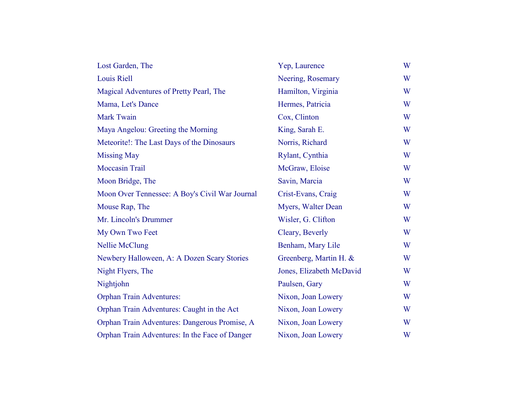| Lost Garden, The                               | Yep, Laurence            | W |
|------------------------------------------------|--------------------------|---|
| <b>Louis Riell</b>                             | Neering, Rosemary        | W |
| Magical Adventures of Pretty Pearl, The        | Hamilton, Virginia       | W |
| Mama, Let's Dance                              | Hermes, Patricia         | W |
| <b>Mark Twain</b>                              | Cox, Clinton             | W |
| Maya Angelou: Greeting the Morning             | King, Sarah E.           | W |
| Meteorite!: The Last Days of the Dinosaurs     | Norris, Richard          | W |
| <b>Missing May</b>                             | Rylant, Cynthia          | W |
| <b>Moccasin Trail</b>                          | McGraw, Eloise           | W |
| Moon Bridge, The                               | Savin, Marcia            | W |
| Moon Over Tennessee: A Boy's Civil War Journal | Crist-Evans, Craig       | W |
| Mouse Rap, The                                 | Myers, Walter Dean       | W |
| Mr. Lincoln's Drummer                          | Wisler, G. Clifton       | W |
| My Own Two Feet                                | Cleary, Beverly          | W |
| <b>Nellie McClung</b>                          | Benham, Mary Lile        | W |
| Newbery Halloween, A: A Dozen Scary Stories    | Greenberg, Martin H. &   | W |
| Night Flyers, The                              | Jones, Elizabeth McDavid | W |
| Nightjohn                                      | Paulsen, Gary            | W |
| <b>Orphan Train Adventures:</b>                | Nixon, Joan Lowery       | W |
| Orphan Train Adventures: Caught in the Act     | Nixon, Joan Lowery       | W |
| Orphan Train Adventures: Dangerous Promise, A  | Nixon, Joan Lowery       | W |
| Orphan Train Adventures: In the Face of Danger | Nixon, Joan Lowery       | W |
|                                                |                          |   |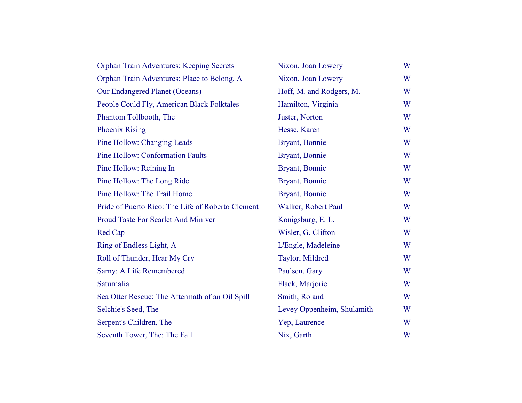| Orphan Train Adventures: Keeping Secrets          | Nixon, Joan Lowery         | W |
|---------------------------------------------------|----------------------------|---|
| Orphan Train Adventures: Place to Belong, A       | Nixon, Joan Lowery         | W |
| <b>Our Endangered Planet (Oceans)</b>             | Hoff, M. and Rodgers, M.   | W |
| People Could Fly, American Black Folktales        | Hamilton, Virginia         | W |
| Phantom Tollbooth, The                            | Juster, Norton             | W |
| <b>Phoenix Rising</b>                             | Hesse, Karen               | W |
| Pine Hollow: Changing Leads                       | Bryant, Bonnie             | W |
| <b>Pine Hollow: Conformation Faults</b>           | Bryant, Bonnie             | W |
| Pine Hollow: Reining In                           | Bryant, Bonnie             | W |
| Pine Hollow: The Long Ride                        | Bryant, Bonnie             | W |
| Pine Hollow: The Trail Home                       | Bryant, Bonnie             | W |
| Pride of Puerto Rico: The Life of Roberto Clement | Walker, Robert Paul        | W |
| <b>Proud Taste For Scarlet And Miniver</b>        | Konigsburg, E. L.          | W |
| Red Cap                                           | Wisler, G. Clifton         | W |
| Ring of Endless Light, A                          | L'Engle, Madeleine         | W |
| Roll of Thunder, Hear My Cry                      | Taylor, Mildred            | W |
| Sarny: A Life Remembered                          | Paulsen, Gary              | W |
| Saturnalia                                        | Flack, Marjorie            | W |
| Sea Otter Rescue: The Aftermath of an Oil Spill   | Smith, Roland              | W |
| Selchie's Seed, The                               | Levey Oppenheim, Shulamith | W |
| Serpent's Children, The                           | Yep, Laurence              | W |
| Seventh Tower, The: The Fall                      | Nix, Garth                 | W |
|                                                   |                            |   |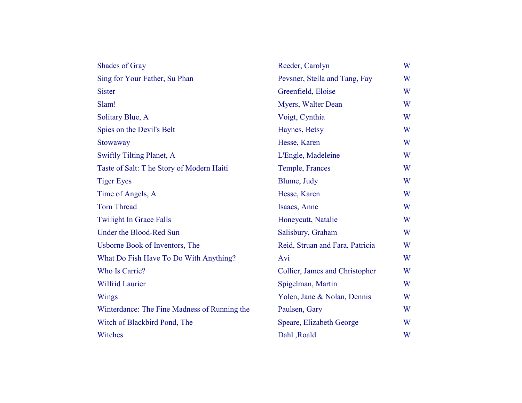| <b>Shades of Gray</b>                        | Reeder, Carolyn                 | W |
|----------------------------------------------|---------------------------------|---|
| Sing for Your Father, Su Phan                | Pevsner, Stella and Tang, Fay   | W |
| <b>Sister</b>                                | Greenfield, Eloise              | W |
| Slam!                                        | Myers, Walter Dean              | W |
| Solitary Blue, A                             | Voigt, Cynthia                  | W |
| Spies on the Devil's Belt                    | Haynes, Betsy                   | W |
| Stowaway                                     | Hesse, Karen                    | W |
| <b>Swiftly Tilting Planet, A</b>             | L'Engle, Madeleine              | W |
| Taste of Salt: T he Story of Modern Haiti    | Temple, Frances                 | W |
| <b>Tiger Eyes</b>                            | Blume, Judy                     | W |
| Time of Angels, A                            | Hesse, Karen                    | W |
| <b>Torn Thread</b>                           | Isaacs, Anne                    | W |
| <b>Twilight In Grace Falls</b>               | Honeycutt, Natalie              | W |
| Under the Blood-Red Sun                      | Salisbury, Graham               | W |
| Usborne Book of Inventors, The               | Reid, Struan and Fara, Patricia | W |
| What Do Fish Have To Do With Anything?       | Avi                             | W |
| Who Is Carrie?                               | Collier, James and Christopher  | W |
| <b>Wilfrid Laurier</b>                       | Spigelman, Martin               | W |
| <b>Wings</b>                                 | Yolen, Jane & Nolan, Dennis     | W |
| Winterdance: The Fine Madness of Running the | Paulsen, Gary                   | W |
| Witch of Blackbird Pond, The                 | Speare, Elizabeth George        | W |
| Witches                                      | Dahl, Roald                     | W |